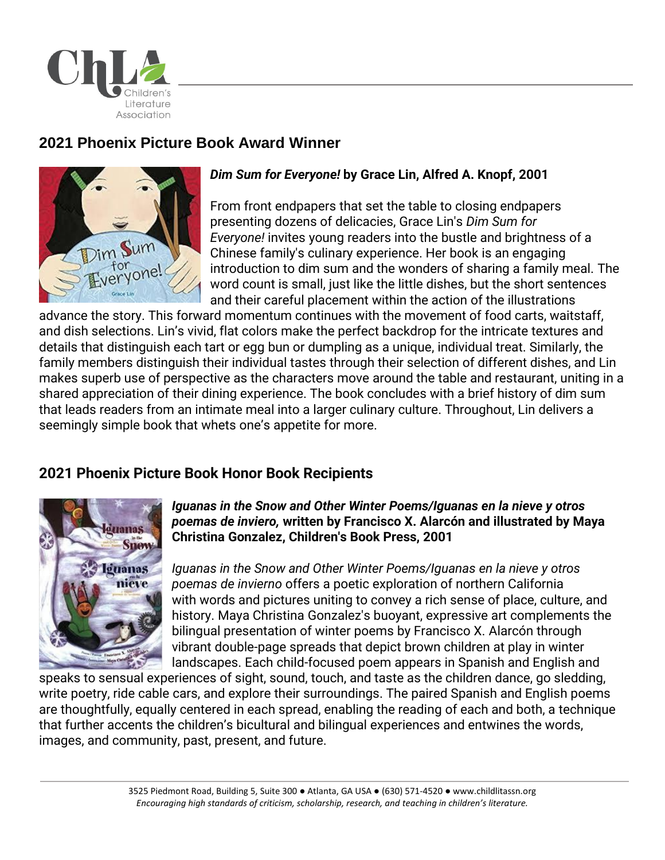

# **2021 Phoenix Picture Book Award Winner**



## *Dim Sum for Everyone!* **by Grace Lin, Alfred A. Knopf, 2001**

From front endpapers that set the table to closing endpapers presenting dozens of delicacies, Grace Lin's *Dim Sum for Everyone!* invites young readers into the bustle and brightness of a Chinese family's culinary experience. Her book is an engaging introduction to dim sum and the wonders of sharing a family meal. The word count is small, just like the little dishes, but the short sentences and their careful placement within the action of the illustrations

advance the story. This forward momentum continues with the movement of food carts, waitstaff, and dish selections. Lin's vivid, flat colors make the perfect backdrop for the intricate textures and details that distinguish each tart or egg bun or dumpling as a unique, individual treat. Similarly, the family members distinguish their individual tastes through their selection of different dishes, and Lin makes superb use of perspective as the characters move around the table and restaurant, uniting in a shared appreciation of their dining experience. The book concludes with a brief history of dim sum that leads readers from an intimate meal into a larger culinary culture. Throughout, Lin delivers a seemingly simple book that whets one's appetite for more.

## **2021 Phoenix Picture Book Honor Book Recipients**



#### *Iguanas in the Snow and Other Winter Poems/Iguanas en la nieve y otros poemas de inviero,* **written by Francisco X. Alarcón and illustrated by Maya Christina Gonzalez, Children's Book Press, 2001**

*Iguanas in the Snow and Other Winter Poems/Iguanas en la nieve y otros poemas de invierno* offers a poetic exploration of northern California with words and pictures uniting to convey a rich sense of place, culture, and history. Maya Christina Gonzalez's buoyant, expressive art complements the bilingual presentation of winter poems by Francisco X. Alarcón through vibrant double-page spreads that depict brown children at play in winter landscapes. Each child-focused poem appears in Spanish and English and

speaks to sensual experiences of sight, sound, touch, and taste as the children dance, go sledding, write poetry, ride cable cars, and explore their surroundings. The paired Spanish and English poems are thoughtfully, equally centered in each spread, enabling the reading of each and both, a technique that further accents the children's bicultural and bilingual experiences and entwines the words, images, and community, past, present, and future.